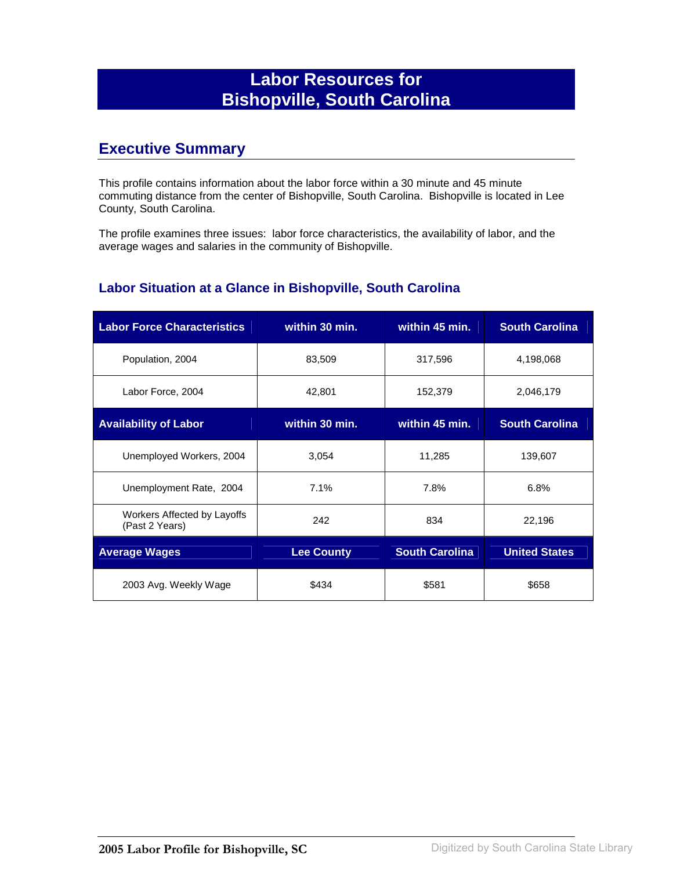# **Labor Resources for Bishopville, South Carolina**

### **Executive Summary**

This profile contains information about the labor force within a 30 minute and 45 minute commuting distance from the center of Bishopville, South Carolina. Bishopville is located in Lee County, South Carolina.

The profile examines three issues: labor force characteristics, the availability of labor, and the average wages and salaries in the community of Bishopville.

#### **Labor Situation at a Glance in Bishopville, South Carolina**

| <b>Labor Force Characteristics</b>            | within 30 min.    | within 45 min.        | <b>South Carolina</b> |
|-----------------------------------------------|-------------------|-----------------------|-----------------------|
| Population, 2004                              | 83,509            | 317,596               | 4,198,068             |
| Labor Force, 2004                             | 42,801            | 152,379               | 2,046,179             |
| <b>Availability of Labor</b>                  | within 30 min.    | within 45 min.        | <b>South Carolina</b> |
| Unemployed Workers, 2004                      | 3,054             | 11,285                | 139,607               |
| Unemployment Rate, 2004                       | 7.1%              | 7.8%                  | 6.8%                  |
| Workers Affected by Layoffs<br>(Past 2 Years) | 242               | 834                   | 22,196                |
| <b>Average Wages</b>                          | <b>Lee County</b> | <b>South Carolina</b> | <b>United States</b>  |
| 2003 Avg. Weekly Wage                         | \$434             | \$581                 | \$658                 |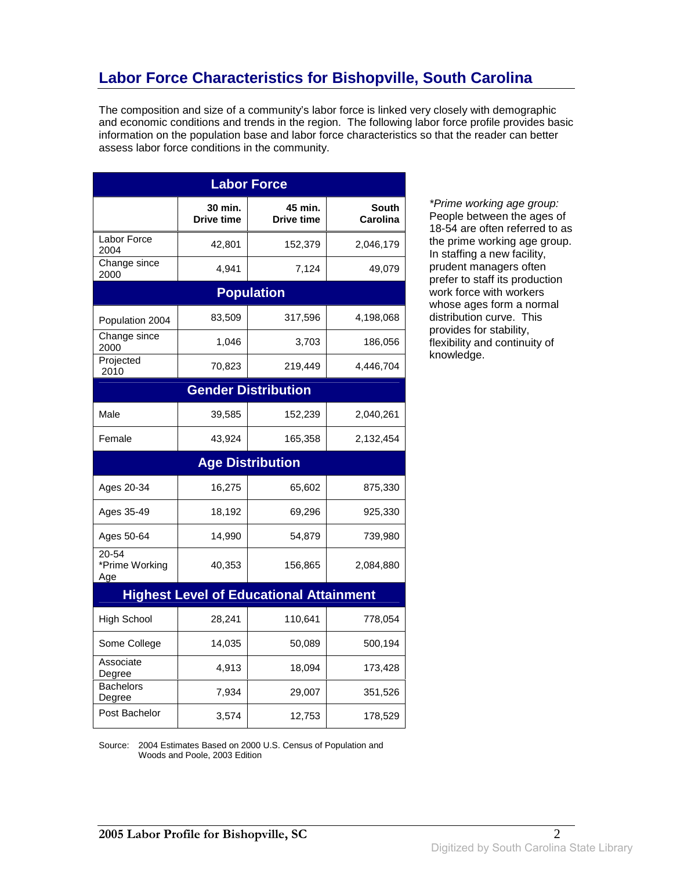# **Labor Force Characteristics for Bishopville, South Carolina**

The composition and size of a community's labor force is linked very closely with demographic and economic conditions and trends in the region. The following labor force profile provides basic information on the population base and labor force characteristics so that the reader can better assess labor force conditions in the community.

| <b>Labor Force</b>             |                       |                                                |                          |
|--------------------------------|-----------------------|------------------------------------------------|--------------------------|
|                                | 30 min.<br>Drive time | 45 min.<br>Drive time                          | <b>South</b><br>Carolina |
| Labor Force<br>2004            | 42,801                | 152,379                                        | 2,046,179                |
| Change since<br>2000           | 4,941                 | 7,124                                          | 49,079                   |
|                                |                       | <b>Population</b>                              |                          |
| Population 2004                | 83,509                | 317,596                                        | 4,198,068                |
| Change since<br>2000           | 1,046                 | 3,703                                          | 186,056                  |
| Projected<br>2010              | 70,823                | 219,449                                        | 4,446,704                |
|                                |                       | <b>Gender Distribution</b>                     |                          |
| Male                           | 39,585                | 152,239                                        | 2,040,261                |
| Female                         | 43,924                | 165,358                                        | 2,132,454                |
|                                |                       | <b>Age Distribution</b>                        |                          |
| Ages 20-34                     | 16,275                | 65,602                                         | 875,330                  |
| Ages 35-49                     | 18,192                | 69,296                                         | 925,330                  |
| Ages 50-64                     | 14,990                | 54,879                                         | 739,980                  |
| 20-54<br>*Prime Working<br>Age | 40,353                | 156,865                                        | 2,084,880                |
|                                |                       | <b>Highest Level of Educational Attainment</b> |                          |
| <b>High School</b>             | 28,241                | 110,641                                        | 778,054                  |
| Some College                   | 14,035                | 50,089                                         | 500,194                  |
| Associate<br>Degree            | 4,913                 | 18,094                                         | 173,428                  |
| <b>Bachelors</b><br>Degree     | 7,934                 | 29,007                                         | 351,526                  |
| Post Bachelor                  | 3,574                 | 12,753                                         | 178,529                  |

\*Prime working age group: People between the ages of 18-54 are often referred to as the prime working age group. In staffing a new facility, prudent managers often prefer to staff its production work force with workers whose ages form a normal distribution curve. This provides for stability, flexibility and continuity of knowledge.

Source: 2004 Estimates Based on 2000 U.S. Census of Population and Woods and Poole, 2003 Edition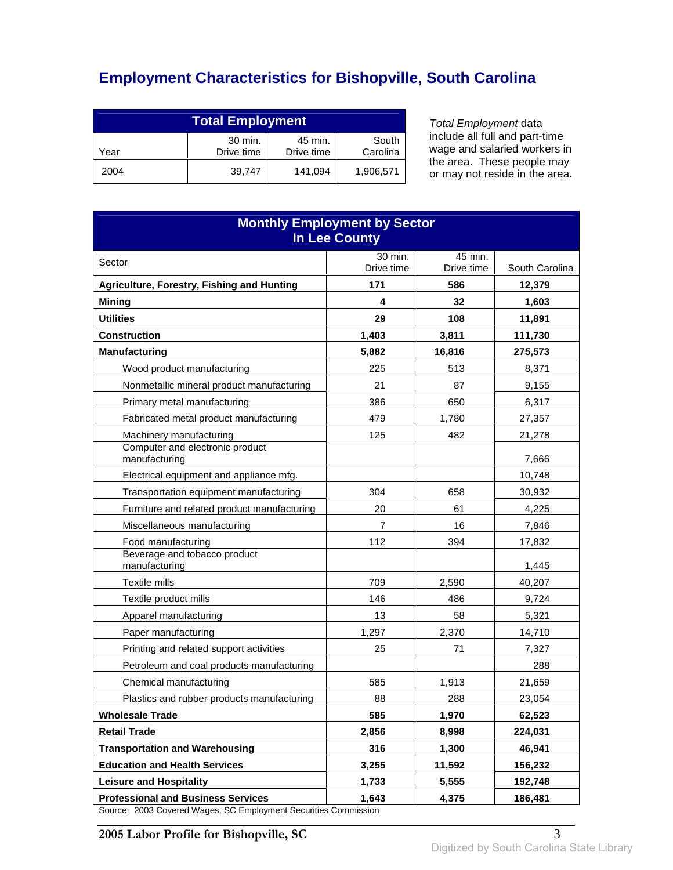# **Employment Characteristics for Bishopville, South Carolina**

| <b>Total Employment</b> |                       |                       |                   |
|-------------------------|-----------------------|-----------------------|-------------------|
| Year                    | 30 min.<br>Drive time | 45 min.<br>Drive time | South<br>Carolina |
| 2004                    | 39.747                | 141,094               | 1,906,571         |

Total Employment data include all full and part-time wage and salaried workers in the area. These people may or may not reside in the area.

| <b>Monthly Employment by Sector</b><br><b>In Lee County</b>                                                                                                             |                |            |                 |
|-------------------------------------------------------------------------------------------------------------------------------------------------------------------------|----------------|------------|-----------------|
| Sector                                                                                                                                                                  | 30 min.        | 45 min.    |                 |
|                                                                                                                                                                         | Drive time     | Drive time | South Carolina  |
| <b>Agriculture, Forestry, Fishing and Hunting</b>                                                                                                                       | 171<br>4       | 586<br>32  | 12,379<br>1,603 |
| <b>Mining</b><br><b>Utilities</b>                                                                                                                                       | 29             | 108        | 11,891          |
| <b>Construction</b>                                                                                                                                                     | 1,403          | 3,811      | 111,730         |
| <b>Manufacturing</b>                                                                                                                                                    | 5,882          | 16,816     | 275,573         |
| Wood product manufacturing                                                                                                                                              | 225            | 513        | 8,371           |
| Nonmetallic mineral product manufacturing                                                                                                                               | 21             | 87         | 9,155           |
| Primary metal manufacturing                                                                                                                                             | 386            | 650        | 6,317           |
| Fabricated metal product manufacturing                                                                                                                                  | 479            | 1,780      | 27,357          |
| Machinery manufacturing                                                                                                                                                 | 125            | 482        | 21,278          |
| Computer and electronic product<br>manufacturing                                                                                                                        |                |            | 7,666           |
| Electrical equipment and appliance mfg.                                                                                                                                 |                |            | 10,748          |
| Transportation equipment manufacturing                                                                                                                                  | 304            | 658        | 30,932          |
| Furniture and related product manufacturing                                                                                                                             | 20             | 61         | 4,225           |
| Miscellaneous manufacturing                                                                                                                                             | $\overline{7}$ | 16         | 7,846           |
| Food manufacturing                                                                                                                                                      | 112            | 394        | 17,832          |
| Beverage and tobacco product<br>manufacturing                                                                                                                           |                |            | 1,445           |
| Textile mills                                                                                                                                                           | 709            | 2,590      | 40,207          |
| Textile product mills                                                                                                                                                   | 146            | 486        | 9,724           |
| Apparel manufacturing                                                                                                                                                   | 13             | 58         | 5,321           |
| Paper manufacturing                                                                                                                                                     | 1,297          | 2,370      | 14,710          |
| Printing and related support activities                                                                                                                                 | 25             | 71         | 7,327           |
| Petroleum and coal products manufacturing                                                                                                                               |                |            | 288             |
| Chemical manufacturing                                                                                                                                                  | 585            | 1.913      | 21,659          |
| Plastics and rubber products manufacturing                                                                                                                              | 88             | 288        | 23,054          |
| <b>Wholesale Trade</b>                                                                                                                                                  | 585            | 1,970      | 62,523          |
| <b>Retail Trade</b>                                                                                                                                                     | 2,856          | 8,998      | 224,031         |
| <b>Transportation and Warehousing</b>                                                                                                                                   | 316            | 1,300      | 46,941          |
| <b>Education and Health Services</b>                                                                                                                                    | 3,255          | 11,592     | 156,232         |
| <b>Leisure and Hospitality</b>                                                                                                                                          | 1,733          | 5,555      | 192,748         |
| <b>Professional and Business Services</b><br>$2002$ $C$ $\rightarrow$ $\rightarrow$ $\rightarrow$ $\rightarrow$ $\rightarrow$ $\rightarrow$ $\rightarrow$<br>$PC$ Emplo | 1,643          | 4,375      | 186,481         |

Source: 2003 Covered Wages, SC Employment Securities Commission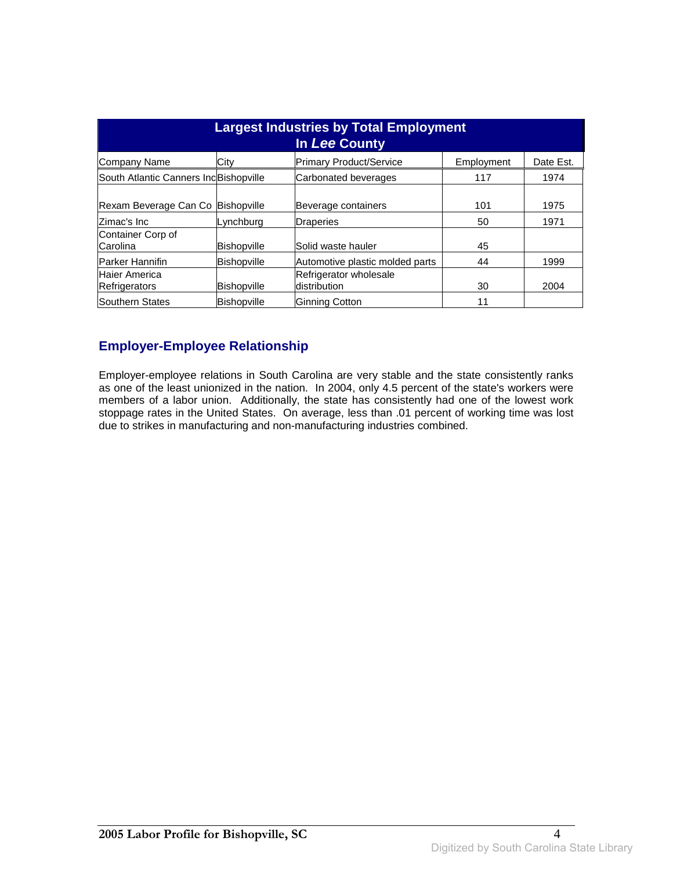| <b>Largest Industries by Total Employment</b><br>In Lee County |                          |                                         |            |              |
|----------------------------------------------------------------|--------------------------|-----------------------------------------|------------|--------------|
| Company Name                                                   | City                     | <b>Primary Product/Service</b>          | Employment | Date Est.    |
| South Atlantic Canners IncBishopville                          |                          | Carbonated beverages                    | 117        | 1974         |
| Rexam Beverage Can Co<br>lZimac's Inc                          | Bishopville<br>Lynchburg | Beverage containers<br><b>Draperies</b> | 101<br>50  | 1975<br>1971 |
| Container Corp of<br>Carolina                                  | <b>Bishopville</b>       | Solid waste hauler                      | 45         |              |
| <b>Parker Hannifin</b>                                         | <b>Bishopville</b>       | Automotive plastic molded parts         | 44         | 1999         |
| Haier America<br><b>Refrigerators</b>                          | <b>Bishopville</b>       | Refrigerator wholesale<br>distribution  | 30         | 2004         |
| Southern States                                                | <b>Bishopville</b>       | Ginning Cotton                          | 11         |              |

#### **Employer-Employee Relationship**

Employer-employee relations in South Carolina are very stable and the state consistently ranks as one of the least unionized in the nation. In 2004, only 4.5 percent of the state's workers were members of a labor union. Additionally, the state has consistently had one of the lowest work stoppage rates in the United States. On average, less than .01 percent of working time was lost due to strikes in manufacturing and non-manufacturing industries combined.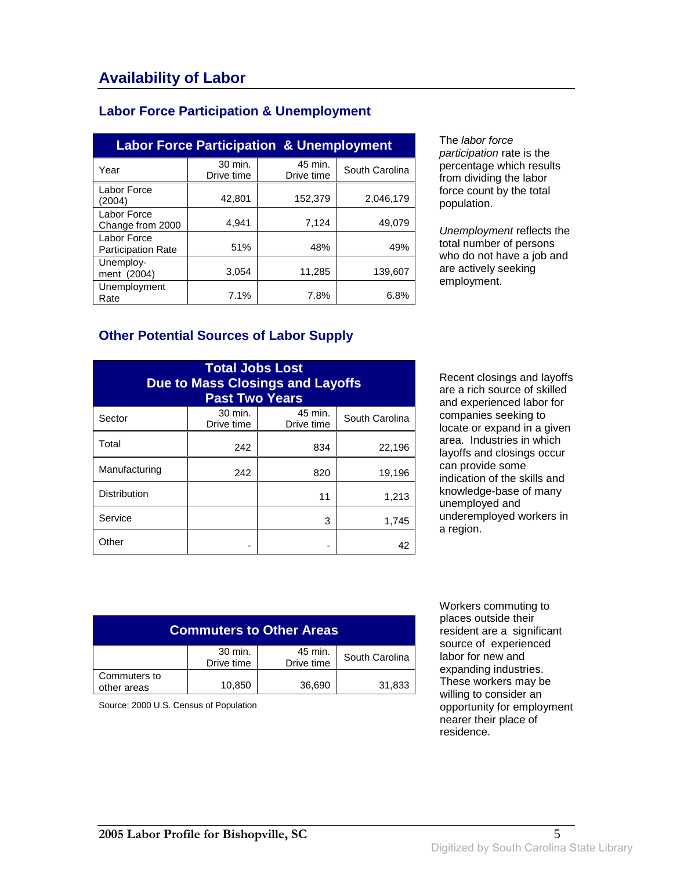#### **Labor Force Participation & Unemployment**

| <b>Labor Force Participation &amp; Unemployment</b> |                       |                       |                |
|-----------------------------------------------------|-----------------------|-----------------------|----------------|
| Year                                                | 30 min.<br>Drive time | 45 min.<br>Drive time | South Carolina |
| Labor Force<br>(2004)                               | 42,801                | 152,379               | 2,046,179      |
| Labor Force<br>Change from 2000                     | 4.941                 | 7.124                 | 49.079         |
| Labor Force<br><b>Participation Rate</b>            | 51%                   | 48%                   | 49%            |
| Unemploy-<br>ment (2004)                            | 3,054                 | 11,285                | 139,607        |
| Unemployment<br>Rate                                | 7.1%                  | 7.8%                  | 6.8%           |

The labor force participation rate is the percentage which results from dividing the labor force count by the total population.

Unemployment reflects the total number of persons who do not have a job and are actively seeking employment.

#### **Other Potential Sources of Labor Supply**

| <b>Total Jobs Lost</b><br><b>Due to Mass Closings and Layoffs</b><br><b>Past Two Years</b> |                       |                       |                |
|--------------------------------------------------------------------------------------------|-----------------------|-----------------------|----------------|
| Sector                                                                                     | 30 min.<br>Drive time | 45 min.<br>Drive time | South Carolina |
| Total                                                                                      | 242                   | 834                   | 22,196         |
| Manufacturing                                                                              | 242                   | 820                   | 19,196         |
| <b>Distribution</b>                                                                        |                       | 11                    | 1,213          |
| Service                                                                                    |                       | 3                     | 1,745          |
| Other                                                                                      |                       |                       | 42             |

Recent closings and layoffs are a rich source of skilled and experienced labor for companies seeking to locate or expand in a given area. Industries in which layoffs and closings occur can provide some indication of the skills and knowledge-base of many unemployed and underemployed workers in a region.

| <b>Commuters to Other Areas</b> |                       |                       |                |
|---------------------------------|-----------------------|-----------------------|----------------|
|                                 | 30 min.<br>Drive time | 45 min.<br>Drive time | South Carolina |
| Commuters to<br>other areas     | 10,850                | 36,690                | 31,833         |

Source: 2000 U.S. Census of Population

 Workers commuting to places outside their resident are a significant source of experienced labor for new and expanding industries. These workers may be willing to consider an opportunity for employment nearer their place of residence.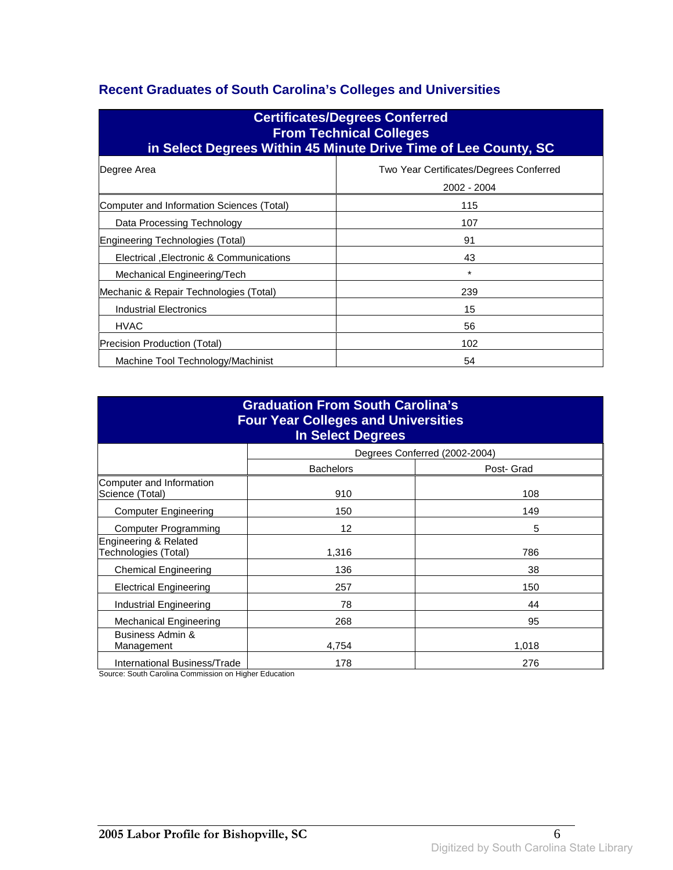### **Recent Graduates of South Carolina's Colleges and Universities**

| <b>Certificates/Degrees Conferred</b><br><b>From Technical Colleges</b><br>in Select Degrees Within 45 Minute Drive Time of Lee County, SC |                                                        |  |
|--------------------------------------------------------------------------------------------------------------------------------------------|--------------------------------------------------------|--|
| Degree Area                                                                                                                                | Two Year Certificates/Degrees Conferred<br>2002 - 2004 |  |
| Computer and Information Sciences (Total)                                                                                                  | 115                                                    |  |
| Data Processing Technology                                                                                                                 | 107                                                    |  |
| Engineering Technologies (Total)                                                                                                           | 91                                                     |  |
| Electrical , Electronic & Communications                                                                                                   | 43                                                     |  |
| Mechanical Engineering/Tech                                                                                                                | $\star$                                                |  |
| Mechanic & Repair Technologies (Total)                                                                                                     | 239                                                    |  |
| Industrial Electronics                                                                                                                     | 15                                                     |  |
| <b>HVAC</b>                                                                                                                                | 56                                                     |  |
| Precision Production (Total)                                                                                                               | 102                                                    |  |
| Machine Tool Technology/Machinist<br>54                                                                                                    |                                                        |  |

| <b>Graduation From South Carolina's</b><br><b>Four Year Colleges and Universities</b><br><b>In Select Degrees</b> |                  |                               |  |
|-------------------------------------------------------------------------------------------------------------------|------------------|-------------------------------|--|
|                                                                                                                   |                  | Degrees Conferred (2002-2004) |  |
|                                                                                                                   | <b>Bachelors</b> | Post- Grad                    |  |
| Computer and Information<br>Science (Total)                                                                       | 910              | 108                           |  |
| <b>Computer Engineering</b>                                                                                       | 150              | 149                           |  |
| <b>Computer Programming</b>                                                                                       | 12               | 5                             |  |
| Engineering & Related<br>Technologies (Total)                                                                     | 1,316            | 786                           |  |
| <b>Chemical Engineering</b>                                                                                       | 136              | 38                            |  |
| <b>Electrical Engineering</b>                                                                                     | 257              | 150                           |  |
| Industrial Engineering                                                                                            | 78               | 44                            |  |
| <b>Mechanical Engineering</b>                                                                                     | 268              | 95                            |  |
| Business Admin &<br>Management                                                                                    | 4,754            | 1,018                         |  |
| <b>International Business/Trade</b>                                                                               | 178              | 276                           |  |

Source: South Carolina Commission on Higher Education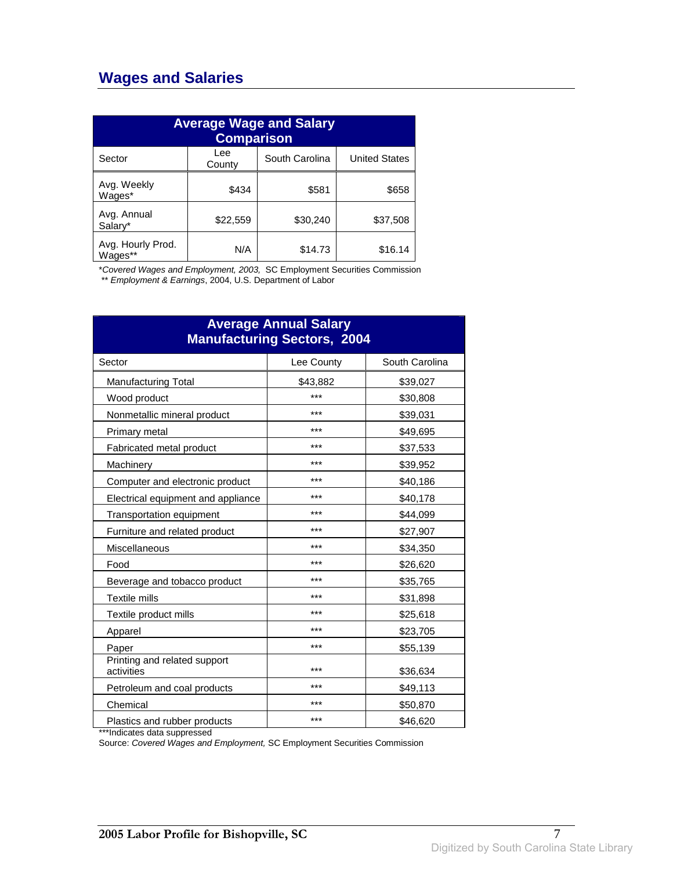### **Wages and Salaries**

| <b>Average Wage and Salary</b><br><b>Comparison</b> |               |                |                      |
|-----------------------------------------------------|---------------|----------------|----------------------|
| Sector                                              | Lee<br>County | South Carolina | <b>United States</b> |
| Avg. Weekly<br>Wages*                               | \$434         | \$581          | \$658                |
| Avg. Annual<br>Salary*                              | \$22,559      | \$30,240       | \$37,508             |
| Avg. Hourly Prod.<br>Wages**                        | N/A           | \$14.73        | \$16.14              |

\*Covered Wages and Employment, 2003, SC Employment Securities Commission

\*\* Employment & Earnings, 2004, U.S. Department of Labor

| <b>Average Annual Salary</b><br><b>Manufacturing Sectors, 2004</b> |            |                |
|--------------------------------------------------------------------|------------|----------------|
| Sector                                                             | Lee County | South Carolina |
| <b>Manufacturing Total</b>                                         | \$43,882   | \$39,027       |
| Wood product                                                       | ***        | \$30,808       |
| Nonmetallic mineral product                                        | ***        | \$39,031       |
| Primary metal                                                      | ***        | \$49,695       |
| Fabricated metal product                                           | ***        | \$37,533       |
| Machinery                                                          | ***        | \$39,952       |
| Computer and electronic product                                    | ***        | \$40,186       |
| Electrical equipment and appliance                                 | ***        | \$40,178       |
| Transportation equipment                                           | ***        | \$44,099       |
| Furniture and related product                                      | ***        | \$27,907       |
| Miscellaneous                                                      | ***        | \$34,350       |
| Food                                                               | ***        | \$26,620       |
| Beverage and tobacco product                                       | ***        | \$35,765       |
| Textile mills                                                      | ***        | \$31,898       |
| Textile product mills                                              | ***        | \$25,618       |
| Apparel                                                            | ***        | \$23,705       |
| Paper                                                              | ***        | \$55,139       |
| Printing and related support<br>activities                         | ***        | \$36,634       |
| Petroleum and coal products                                        | ***        | \$49,113       |
| Chemical                                                           | ***        | \$50,870       |
| Plastics and rubber products                                       | ***        | \$46,620       |

\*\*\*Indicates data suppressed

Source: Covered Wages and Employment, SC Employment Securities Commission